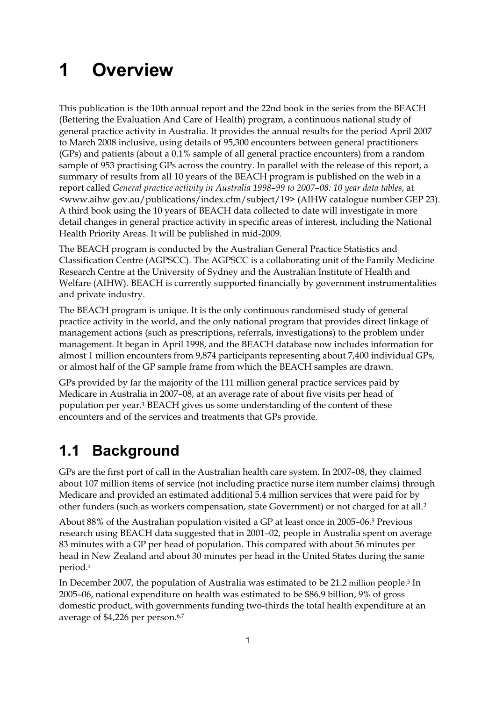# **1 Overview**

This publication is the 10th annual report and the 22nd book in the series from the BEACH (Bettering the Evaluation And Care of Health) program, a continuous national study of general practice activity in Australia. It provides the annual results for the period April 2007 to March 2008 inclusive, using details of 95,300 encounters between general practitioners (GPs) and patients (about a 0.1% sample of all general practice encounters) from a random sample of 953 practising GPs across the country. In parallel with the release of this report, a summary of results from all 10 years of the BEACH program is published on the web in a report called *General practice activity in Australia 1998–99 to 2007–08: 10 year data tables*, at <www.aihw.gov.au/publications/index.cfm/subject/19> (AIHW catalogue number GEP 23). A third book using the 10 years of BEACH data collected to date will investigate in more detail changes in general practice activity in specific areas of interest, including the National Health Priority Areas. It will be published in mid-2009.

The BEACH program is conducted by the Australian General Practice Statistics and Classification Centre (AGPSCC). The AGPSCC is a collaborating unit of the Family Medicine Research Centre at the University of Sydney and the Australian Institute of Health and Welfare (AIHW). BEACH is currently supported financially by government instrumentalities and private industry.

The BEACH program is unique. It is the only continuous randomised study of general practice activity in the world, and the only national program that provides direct linkage of management actions (such as prescriptions, referrals, investigations) to the problem under management. It began in April 1998, and the BEACH database now includes information for almost 1 million encounters from 9,874 participants representing about 7,400 individual GPs, or almost half of the GP sample frame from which the BEACH samples are drawn.

GPs provided by far the majority of the 111 million general practice services paid by Medicare in Australia in 2007–08, at an average rate of about five visits per head of population per year.1 BEACH gives us some understanding of the content of these encounters and of the services and treatments that GPs provide.

## **1.1 Background**

GPs are the first port of call in the Australian health care system. In 2007–08, they claimed about 107 million items of service (not including practice nurse item number claims) through Medicare and provided an estimated additional 5.4 million services that were paid for by other funders (such as workers compensation, state Government) or not charged for at all.2

About 88% of the Australian population visited a GP at least once in 2005–06.3 Previous research using BEACH data suggested that in 2001–02, people in Australia spent on average 83 minutes with a GP per head of population. This compared with about 56 minutes per head in New Zealand and about 30 minutes per head in the United States during the same period.4

In December 2007, the population of Australia was estimated to be 21.2 million people.5 In 2005–06, national expenditure on health was estimated to be \$86.9 billion, 9% of gross domestic product, with governments funding two-thirds the total health expenditure at an average of \$4,226 per person.6,7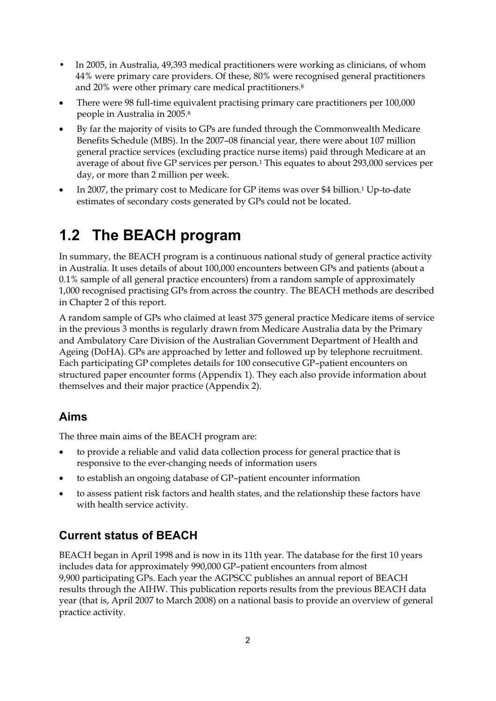- In 2005, in Australia, 49,393 medical practitioners were working as clinicians, of whom 44% were primary care providers. Of these, 80% were recognised general practitioners and 20% were other primary care medical practitioners.8
- $\bullet$  There were 98 full-time equivalent practising primary care practitioners per 100,000 people in Australia in 2005.8
- $\bullet$  By far the majority of visits to GPs are funded through the Commonwealth Medicare Benefits Schedule (MBS). In the 2007–08 financial year, there were about 107 million general practice services (excluding practice nurse items) paid through Medicare at an average of about five GP services per person.1 This equates to about 293,000 services per day, or more than 2 million per week.
- $\bullet$  In 2007, the primary cost to Medicare for GP items was over \$4 billion.1 Up-to-date estimates of secondary costs generated by GPs could not be located.

## **1.2 The BEACH program**

In summary, the BEACH program is a continuous national study of general practice activity in Australia. It uses details of about 100,000 encounters between GPs and patients (about a 0.1% sample of all general practice encounters) from a random sample of approximately 1,000 recognised practising GPs from across the country. The BEACH methods are described in Chapter 2 of this report.

A random sample of GPs who claimed at least 375 general practice Medicare items of service in the previous 3 months is regularly drawn from Medicare Australia data by the Primary and Ambulatory Care Division of the Australian Government Department of Health and Ageing (DoHA). GPs are approached by letter and followed up by telephone recruitment. Each participating GP completes details for 100 consecutive GP–patient encounters on structured paper encounter forms (Appendix 1). They each also provide information about themselves and their major practice (Appendix 2).

### **Aims**

The three main aims of the BEACH program are:

- $\bullet$  to provide a reliable and valid data collection process for general practice that is responsive to the ever-changing needs of information users
- $\bullet$ to establish an ongoing database of GP–patient encounter information
- $\bullet$  to assess patient risk factors and health states, and the relationship these factors have with health service activity.

## **Current status of BEACH**

BEACH began in April 1998 and is now in its 11th year. The database for the first 10 years includes data for approximately 990,000 GP–patient encounters from almost 9,900 participating GPs. Each year the AGPSCC publishes an annual report of BEACH results through the AIHW. This publication reports results from the previous BEACH data year (that is, April 2007 to March 2008) on a national basis to provide an overview of general practice activity.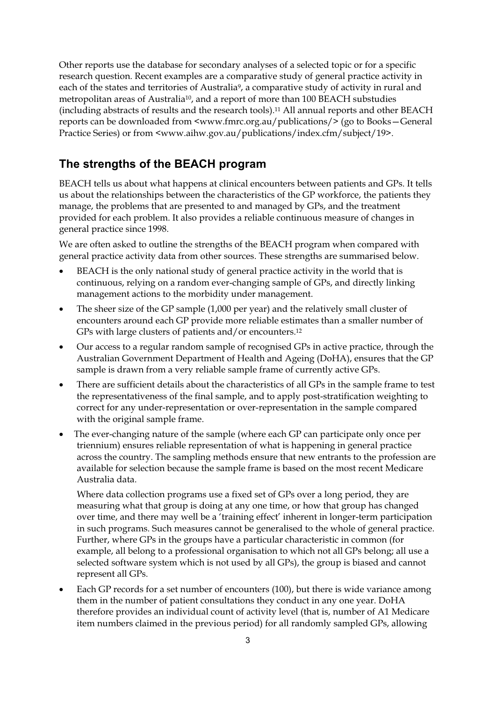Other reports use the database for secondary analyses of a selected topic or for a specific research question. Recent examples are a comparative study of general practice activity in each of the states and territories of Australia<sup>9</sup>, a comparative study of activity in rural and metropolitan areas of Australia10, and a report of more than 100 BEACH substudies (including abstracts of results and the research tools).11 All annual reports and other BEACH reports can be downloaded from <www.fmrc.org.au/publications/> (go to Books—General Practice Series) or from <www.aihw.gov.au/publications/index.cfm/subject/19>.

#### **The strengths of the BEACH program**

BEACH tells us about what happens at clinical encounters between patients and GPs. It tells us about the relationships between the characteristics of the GP workforce, the patients they manage, the problems that are presented to and managed by GPs, and the treatment provided for each problem. It also provides a reliable continuous measure of changes in general practice since 1998.

We are often asked to outline the strengths of the BEACH program when compared with general practice activity data from other sources. These strengths are summarised below.

- $\bullet$  BEACH is the only national study of general practice activity in the world that is continuous, relying on a random ever-changing sample of GPs, and directly linking management actions to the morbidity under management.
- $\bullet$  The sheer size of the GP sample (1,000 per year) and the relatively small cluster of encounters around each GP provide more reliable estimates than a smaller number of GPs with large clusters of patients and/or encounters.12
- $\bullet$  Our access to a regular random sample of recognised GPs in active practice, through the Australian Government Department of Health and Ageing (DoHA), ensures that the GP sample is drawn from a very reliable sample frame of currently active GPs.
- $\bullet$  There are sufficient details about the characteristics of all GPs in the sample frame to test the representativeness of the final sample, and to apply post-stratification weighting to correct for any under-representation or over-representation in the sample compared with the original sample frame.
- $\bullet$  The ever-changing nature of the sample (where each GP can participate only once per triennium) ensures reliable representation of what is happening in general practice across the country. The sampling methods ensure that new entrants to the profession are available for selection because the sample frame is based on the most recent Medicare Australia data.

Where data collection programs use a fixed set of GPs over a long period, they are measuring what that group is doing at any one time, or how that group has changed over time, and there may well be a 'training effect' inherent in longer-term participation in such programs. Such measures cannot be generalised to the whole of general practice. Further, where GPs in the groups have a particular characteristic in common (for example, all belong to a professional organisation to which not all GPs belong; all use a selected software system which is not used by all GPs), the group is biased and cannot represent all GPs.

 $\bullet$  Each GP records for a set number of encounters (100), but there is wide variance among them in the number of patient consultations they conduct in any one year. DoHA therefore provides an individual count of activity level (that is, number of A1 Medicare item numbers claimed in the previous period) for all randomly sampled GPs, allowing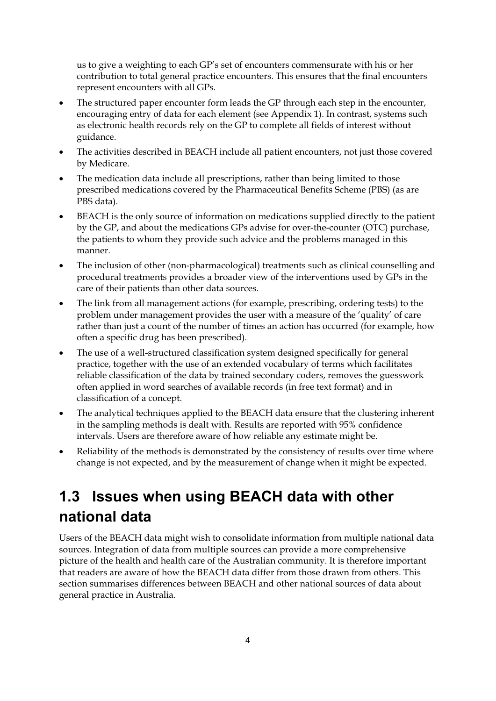us to give a weighting to each GP's set of encounters commensurate with his or her contribution to total general practice encounters. This ensures that the final encounters represent encounters with all GPs.

- $\bullet$  The structured paper encounter form leads the GP through each step in the encounter, encouraging entry of data for each element (see Appendix 1). In contrast, systems such as electronic health records rely on the GP to complete all fields of interest without guidance.
- $\bullet$  The activities described in BEACH include all patient encounters, not just those covered by Medicare.
- $\bullet$  The medication data include all prescriptions, rather than being limited to those prescribed medications covered by the Pharmaceutical Benefits Scheme (PBS) (as are PBS data).
- $\bullet$  BEACH is the only source of information on medications supplied directly to the patient by the GP, and about the medications GPs advise for over-the-counter (OTC) purchase, the patients to whom they provide such advice and the problems managed in this manner.
- $\bullet$  The inclusion of other (non-pharmacological) treatments such as clinical counselling and procedural treatments provides a broader view of the interventions used by GPs in the care of their patients than other data sources.
- $\bullet$  The link from all management actions (for example, prescribing, ordering tests) to the problem under management provides the user with a measure of the 'quality' of care rather than just a count of the number of times an action has occurred (for example, how often a specific drug has been prescribed).
- $\bullet$  The use of a well-structured classification system designed specifically for general practice, together with the use of an extended vocabulary of terms which facilitates reliable classification of the data by trained secondary coders, removes the guesswork often applied in word searches of available records (in free text format) and in classification of a concept.
- - The analytical techniques applied to the BEACH data ensure that the clustering inherent in the sampling methods is dealt with. Results are reported with 95% confidence intervals. Users are therefore aware of how reliable any estimate might be.
- $\bullet$  Reliability of the methods is demonstrated by the consistency of results over time where change is not expected, and by the measurement of change when it might be expected.

## **1.3 Issues when using BEACH data with other national data**

Users of the BEACH data might wish to consolidate information from multiple national data sources. Integration of data from multiple sources can provide a more comprehensive picture of the health and health care of the Australian community. It is therefore important that readers are aware of how the BEACH data differ from those drawn from others. This section summarises differences between BEACH and other national sources of data about general practice in Australia.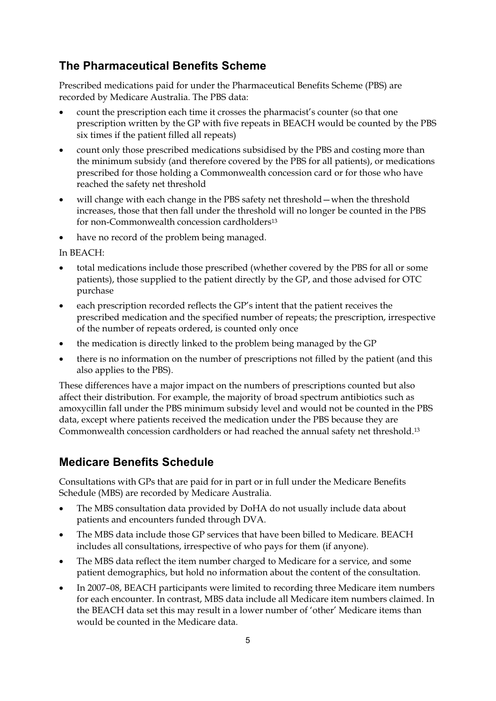### **The Pharmaceutical Benefits Scheme**

Prescribed medications paid for under the Pharmaceutical Benefits Scheme (PBS) are recorded by Medicare Australia. The PBS data:

- $\bullet$  count the prescription each time it crosses the pharmacist's counter (so that one prescription written by the GP with five repeats in BEACH would be counted by the PBS six times if the patient filled all repeats)
- $\bullet$  count only those prescribed medications subsidised by the PBS and costing more than the minimum subsidy (and therefore covered by the PBS for all patients), or medications prescribed for those holding a Commonwealth concession card or for those who have reached the safety net threshold
- will change with each change in the PBS safety net threshold—when the threshold increases, those that then fall under the threshold will no longer be counted in the PBS for non-Commonwealth concession cardholders13
- $\bullet$ have no record of the problem being managed.

In BEACH:

- $\bullet$  total medications include those prescribed (whether covered by the PBS for all or some patients), those supplied to the patient directly by the GP, and those advised for OTC purchase
- $\bullet$  each prescription recorded reflects the GP's intent that the patient receives the prescribed medication and the specified number of repeats; the prescription, irrespective of the number of repeats ordered, is counted only once
- $\bullet$ the medication is directly linked to the problem being managed by the GP
- $\bullet$  there is no information on the number of prescriptions not filled by the patient (and this also applies to the PBS).

These differences have a major impact on the numbers of prescriptions counted but also affect their distribution. For example, the majority of broad spectrum antibiotics such as amoxycillin fall under the PBS minimum subsidy level and would not be counted in the PBS data, except where patients received the medication under the PBS because they are Commonwealth concession cardholders or had reached the annual safety net threshold.13

#### **Medicare Benefits Schedule**

Consultations with GPs that are paid for in part or in full under the Medicare Benefits Schedule (MBS) are recorded by Medicare Australia.

- $\bullet$  The MBS consultation data provided by DoHA do not usually include data about patients and encounters funded through DVA.
- $\bullet$  The MBS data include those GP services that have been billed to Medicare. BEACH includes all consultations, irrespective of who pays for them (if anyone).
- $\bullet$  The MBS data reflect the item number charged to Medicare for a service, and some patient demographics, but hold no information about the content of the consultation.
- $\bullet$  In 2007–08, BEACH participants were limited to recording three Medicare item numbers for each encounter. In contrast, MBS data include all Medicare item numbers claimed. In the BEACH data set this may result in a lower number of 'other' Medicare items than would be counted in the Medicare data.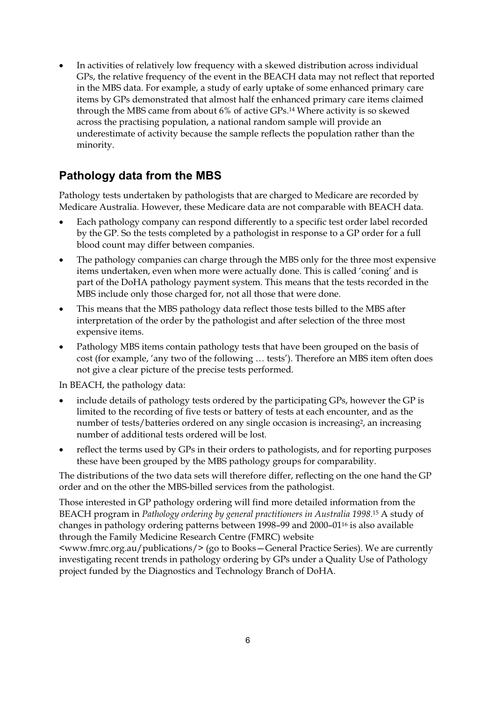$\bullet$  In activities of relatively low frequency with a skewed distribution across individual GPs, the relative frequency of the event in the BEACH data may not reflect that reported in the MBS data. For example, a study of early uptake of some enhanced primary care items by GPs demonstrated that almost half the enhanced primary care items claimed through the MBS came from about 6% of active GPs.14 Where activity is so skewed across the practising population, a national random sample will provide an underestimate of activity because the sample reflects the population rather than the minority.

### **Pathology data from the MBS**

Pathology tests undertaken by pathologists that are charged to Medicare are recorded by Medicare Australia. However, these Medicare data are not comparable with BEACH data.

- $\bullet$  Each pathology company can respond differently to a specific test order label recorded by the GP. So the tests completed by a pathologist in response to a GP order for a full blood count may differ between companies.
- $\bullet$  The pathology companies can charge through the MBS only for the three most expensive items undertaken, even when more were actually done. This is called 'coning' and is part of the DoHA pathology payment system. This means that the tests recorded in the MBS include only those charged for, not all those that were done.
- $\bullet$  This means that the MBS pathology data reflect those tests billed to the MBS after interpretation of the order by the pathologist and after selection of the three most expensive items.
- $\bullet$  Pathology MBS items contain pathology tests that have been grouped on the basis of cost (for example, 'any two of the following … tests'). Therefore an MBS item often does not give a clear picture of the precise tests performed.

In BEACH, the pathology data:

- $\bullet$  include details of pathology tests ordered by the participating GPs, however the GP is limited to the recording of five tests or battery of tests at each encounter, and as the number of tests/batteries ordered on any single occasion is increasing<sup>2</sup>, an increasing number of additional tests ordered will be lost.
- $\bullet$  reflect the terms used by GPs in their orders to pathologists, and for reporting purposes these have been grouped by the MBS pathology groups for comparability.

The distributions of the two data sets will therefore differ, reflecting on the one hand the GP order and on the other the MBS-billed services from the pathologist.

Those interested in GP pathology ordering will find more detailed information from the BEACH program in *Pathology ordering by general practitioners in Australia 1998*.15 A study of changes in pathology ordering patterns between 1998–99 and 2000–0116 is also available through the Family Medicine Research Centre (FMRC) website

<www.fmrc.org.au/publications/> (go to Books—General Practice Series). We are currently investigating recent trends in pathology ordering by GPs under a Quality Use of Pathology project funded by the Diagnostics and Technology Branch of DoHA.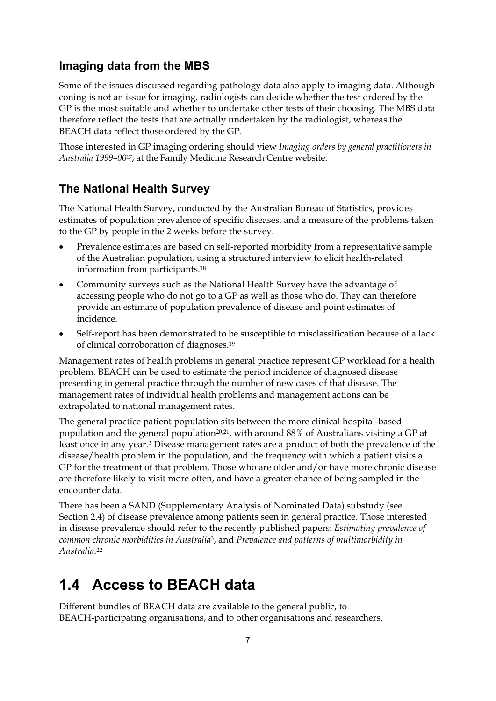#### **Imaging data from the MBS**

Some of the issues discussed regarding pathology data also apply to imaging data. Although coning is not an issue for imaging, radiologists can decide whether the test ordered by the GP is the most suitable and whether to undertake other tests of their choosing. The MBS data therefore reflect the tests that are actually undertaken by the radiologist, whereas the BEACH data reflect those ordered by the GP.

Those interested in GP imaging ordering should view *Imaging orders by general practitioners in Australia 1999–00*17, at the Family Medicine Research Centre website.

#### **The National Health Survey**

The National Health Survey, conducted by the Australian Bureau of Statistics, provides estimates of population prevalence of specific diseases, and a measure of the problems taken to the GP by people in the 2 weeks before the survey.

- $\bullet$  Prevalence estimates are based on self-reported morbidity from a representative sample of the Australian population, using a structured interview to elicit health-related information from participants.18
- $\bullet$  Community surveys such as the National Health Survey have the advantage of accessing people who do not go to a GP as well as those who do. They can therefore provide an estimate of population prevalence of disease and point estimates of incidence.
- $\bullet$  Self-report has been demonstrated to be susceptible to misclassification because of a lack of clinical corroboration of diagnoses.19

Management rates of health problems in general practice represent GP workload for a health problem. BEACH can be used to estimate the period incidence of diagnosed disease presenting in general practice through the number of new cases of that disease. The management rates of individual health problems and management actions can be extrapolated to national management rates.

The general practice patient population sits between the more clinical hospital-based population and the general population<sup>20,21</sup>, with around 88% of Australians visiting a GP at least once in any year.3 Disease management rates are a product of both the prevalence of the disease/health problem in the population, and the frequency with which a patient visits a GP for the treatment of that problem. Those who are older and/or have more chronic disease are therefore likely to visit more often, and have a greater chance of being sampled in the encounter data.

There has been a SAND (Supplementary Analysis of Nominated Data) substudy (see Section 2.4) of disease prevalence among patients seen in general practice. Those interested in disease prevalence should refer to the recently published papers: *Estimating prevalence of common chronic morbidities in Australia*3, and *Prevalence and patterns of multimorbidity in Australia*.22

## **1.4 Access to BEACH data**

Different bundles of BEACH data are available to the general public, to BEACH-participating organisations, and to other organisations and researchers.